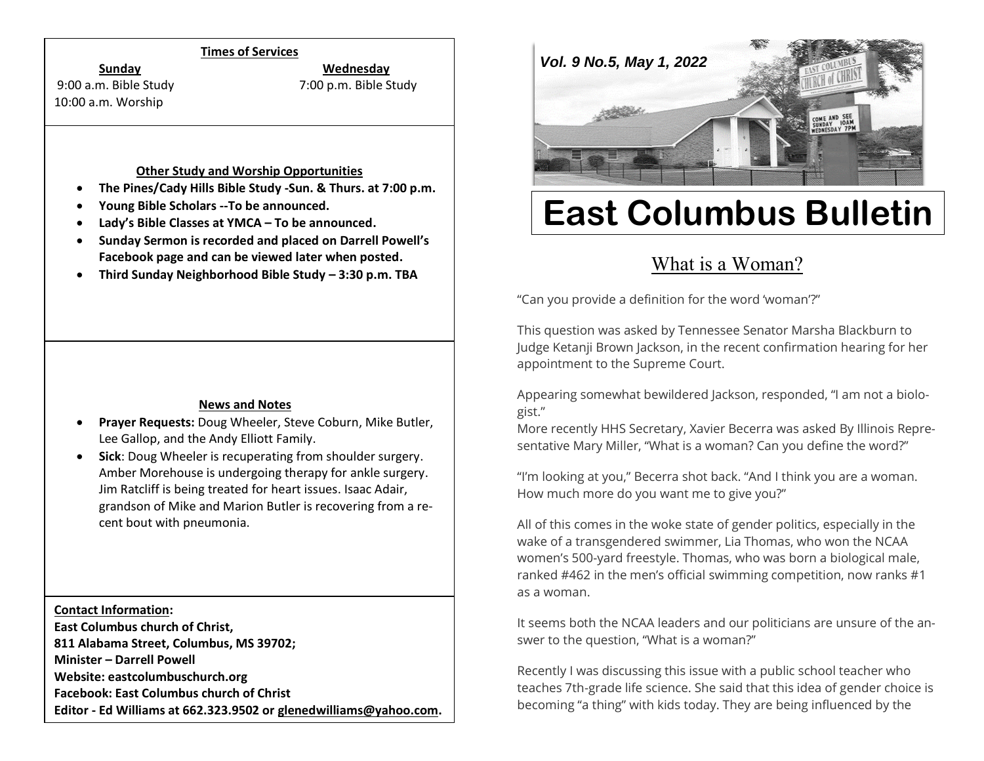#### **Times of Services**

**Sunday Wednesday**

10:00 a.m. Worship

9:00 a.m. Bible Study 7:00 p.m. Bible Study

#### **Other Study and Worship Opportunities**

- **The Pines/Cady Hills Bible Study -Sun. & Thurs. at 7:00 p.m.**
- **Young Bible Scholars --To be announced.**
- **Lady's Bible Classes at YMCA – To be announced.**
- **Sunday Sermon is recorded and placed on Darrell Powell's Facebook page and can be viewed later when posted.**
- **Third Sunday Neighborhood Bible Study – 3:30 p.m. TBA**

## **News and Notes**

- **Prayer Requests:** Doug Wheeler, Steve Coburn, Mike Butler, Lee Gallop, and the Andy Elliott Family.
- **Sick**: Doug Wheeler is recuperating from shoulder surgery. Amber Morehouse is undergoing therapy for ankle surgery. Jim Ratcliff is being treated for heart issues. Isaac Adair, grandson of Mike and Marion Butler is recovering from a recent bout with pneumonia.

**Contact Information:**

**East Columbus church of Christ, 811 Alabama Street, Columbus, MS 39702; Minister – Darrell Powell Website: eastcolumbuschurch.org Facebook: East Columbus church of Christ Editor - Ed Williams at 662.323.9502 o[r glenedwilliams@yahoo.com.](mailto:glenedwilliams@yahoo.com)**



# **East Columbus Bulletin**

# What is a [Woman?](https://thepreachersword.com/2022/04/14/what-is-a-woman/)

"Can you provide a definition for the word 'woman'?"

This question was asked by Tennessee Senator Marsha Blackburn to Judge Ketanji Brown Jackson, in the recent confirmation hearing for her appointment to the Supreme Court.

Appearing somewhat bewildered Jackson, responded, "I am not a biologist."

More recently HHS Secretary, Xavier Becerra was asked By Illinois Representative Mary Miller, "What is a woman? Can you define the word?"

"I'm looking at you," Becerra shot back. "And I think you are a woman. How much more do you want me to give you?"

All of this comes in the woke state of gender politics, especially in the wake of a transgendered swimmer, Lia Thomas, who won the NCAA women's 500-yard freestyle. Thomas, who was born a biological male, ranked #462 in the men's official swimming competition, now ranks #1 as a woman.

It seems both the NCAA leaders and our politicians are unsure of the answer to the question, "What is a woman?"

Recently I was discussing this issue with a public school teacher who teaches 7th-grade life science. She said that this idea of gender choice is becoming "a thing" with kids today. They are being influenced by the